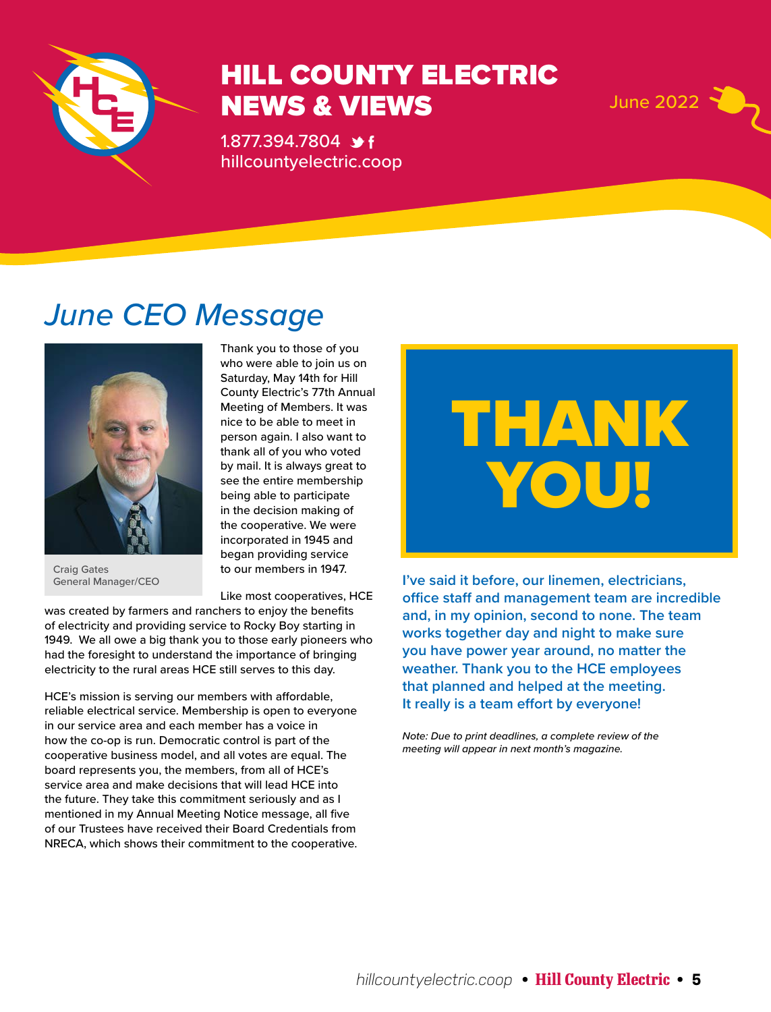

## HILL COUNTY ELECTRIC NEWS & VIEWS June 2022 Y

1.877.394.7804 **\*** f hillcountyelectric.coop



## *June CEO Message*



Craig Gates General Manager/CEO

Thank you to those of you who were able to join us on Saturday, May 14th for Hill County Electric's 77th Annual Meeting of Members. It was nice to be able to meet in person again. I also want to thank all of you who voted by mail. It is always great to see the entire membership being able to participate in the decision making of the cooperative. We were incorporated in 1945 and began providing service to our members in 1947.

Like most cooperatives, HCE

was created by farmers and ranchers to enjoy the benefits of electricity and providing service to Rocky Boy starting in 1949. We all owe a big thank you to those early pioneers who had the foresight to understand the importance of bringing electricity to the rural areas HCE still serves to this day.

HCE's mission is serving our members with affordable, reliable electrical service. Membership is open to everyone in our service area and each member has a voice in how the co-op is run. Democratic control is part of the cooperative business model, and all votes are equal. The board represents you, the members, from all of HCE's service area and make decisions that will lead HCE into the future. They take this commitment seriously and as I mentioned in my Annual Meeting Notice message, all five of our Trustees have received their Board Credentials from NRECA, which shows their commitment to the cooperative.

THANK YOU!

**I've said it before, our linemen, electricians, office staff and management team are incredible and, in my opinion, second to none. The team works together day and night to make sure you have power year around, no matter the weather. Thank you to the HCE employees that planned and helped at the meeting. It really is a team effort by everyone!**

*Note: Due to print deadlines, a complete review of the meeting will appear in next month's magazine.*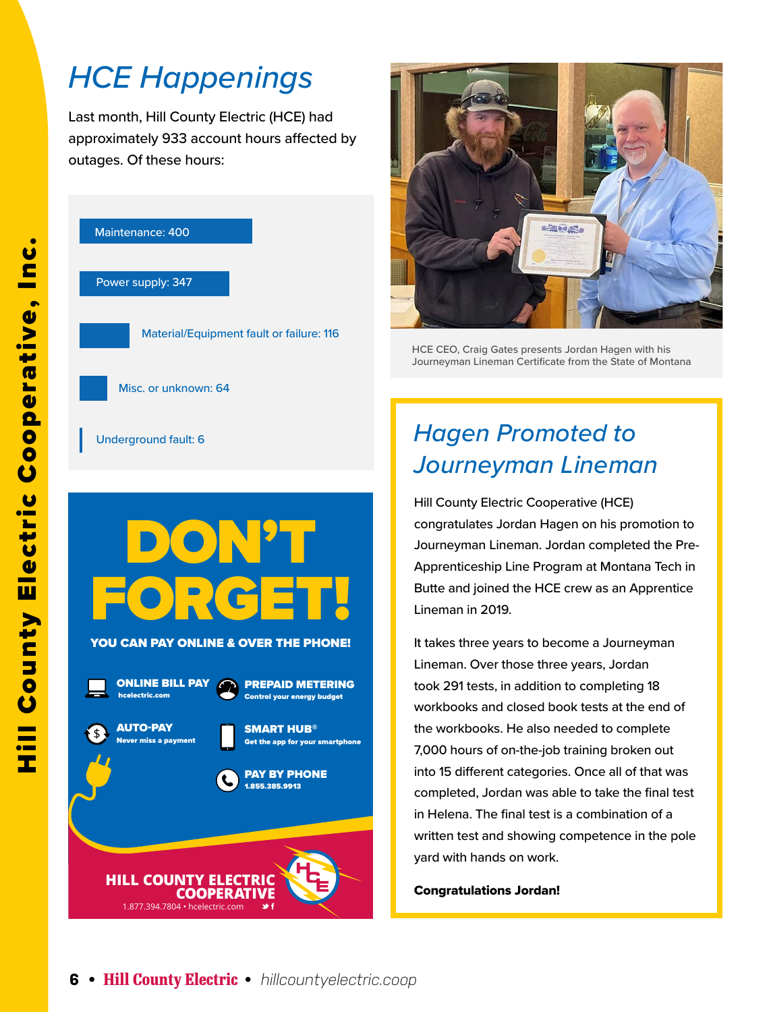## *HCE Happenings*

Last month, Hill County Electric (HCE) had approximately 933 account hours affected by outages. Of these hours:





HCE CEO, Craig Gates presents Jordan Hagen with his Journeyman Lineman Certificate from the State of Montana

# *Journeyman Lineman*

Hill County Electric Cooperative (HCE) congratulates Jordan Hagen on his promotion to Journeyman Lineman. Jordan completed the Pre-Apprenticeship Line Program at Montana Tech in Butte and joined the HCE crew as an Apprentice Lineman in 2019.

It takes three years to become a Journeyman Lineman. Over those three years, Jordan took 291 tests, in addition to completing 18 workbooks and closed book tests at the end of the workbooks. He also needed to complete 7,000 hours of on-the-job training broken out into 15 different categories. Once all of that was completed, Jordan was able to take the final test in Helena. The final test is a combination of a written test and showing competence in the pole yard with hands on work.

Congratulations Jordan!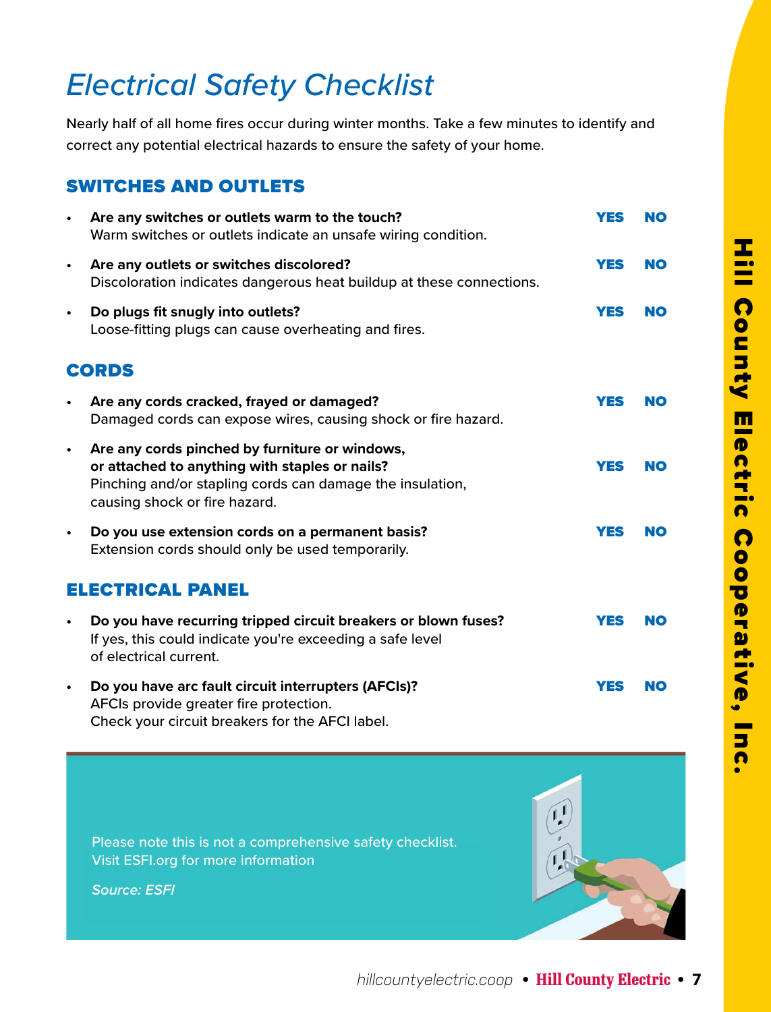## *Electrical Safety Checklist*

Nearly half of all home fires occur during winter months. Take a few minutes to identify and correct any potential electrical hazards to ensure the safety of your home.

### SWITCHES AND OUTLETS

|                         | Are any switches or outlets warm to the touch?<br>Warm switches or outlets indicate an unsafe wiring condition.                                                                                | <b>YES</b> | <b>NO</b> |
|-------------------------|------------------------------------------------------------------------------------------------------------------------------------------------------------------------------------------------|------------|-----------|
| $\bullet$               | Are any outlets or switches discolored?<br>Discoloration indicates dangerous heat buildup at these connections.                                                                                | <b>YES</b> | <b>NO</b> |
| $\bullet$               | Do plugs fit snugly into outlets?<br>Loose-fitting plugs can cause overheating and fires.                                                                                                      | <b>YES</b> | <b>NO</b> |
| <b>CORDS</b>            |                                                                                                                                                                                                |            |           |
|                         | Are any cords cracked, frayed or damaged?<br>Damaged cords can expose wires, causing shock or fire hazard.                                                                                     | <b>YES</b> | NO        |
| $\bullet$               | Are any cords pinched by furniture or windows,<br>or attached to anything with staples or nails?<br>Pinching and/or stapling cords can damage the insulation,<br>causing shock or fire hazard. | <b>YES</b> | <b>NO</b> |
| $\bullet$               | Do you use extension cords on a permanent basis?<br>Extension cords should only be used temporarily.                                                                                           | <b>YES</b> | <b>NO</b> |
| <b>ELECTRICAL PANEL</b> |                                                                                                                                                                                                |            |           |
| $\bullet$               | Do you have recurring tripped circuit breakers or blown fuses?<br>If yes, this could indicate you're exceeding a safe level<br>of electrical current.                                          | <b>YES</b> | <b>NO</b> |
| $\bullet$               | Do you have arc fault circuit interrupters (AFCIs)?<br>AFCIs provide greater fire protection.<br>Check your circuit breakers for the AFCI label.                                               | <b>YES</b> | <b>NO</b> |

Please note this is not a comprehensive safety checklist. Visit ESFI.org for more information

*Source: ESFI*